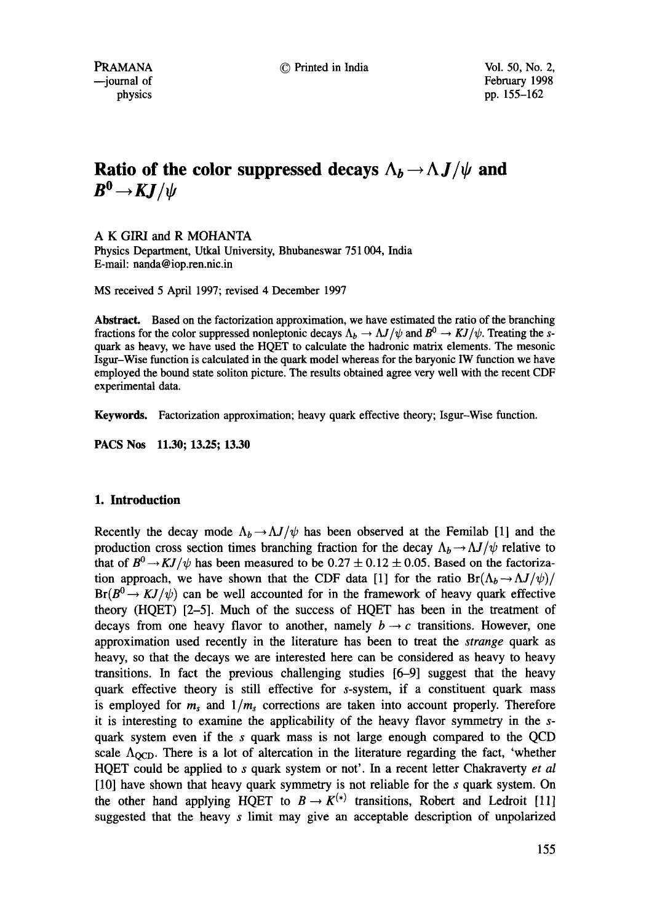© Printed in India Vol. 50, No. 2,

February 1998 pp. 155-162

# **Ratio of the color suppressed decays**  $\Lambda_b \rightarrow \Lambda J/\psi$  **and**  $B^0 \rightarrow KJ/\psi$

A K GIRl and R MOHANTA

Physics Department, Utkal University, Bhubaneswar 751004, India E-mail: nanda@iop.ren.nic.in

MS received 5 April 1997; revised 4 December 1997

**Abstract.** Based on the factorization approximation, we have estimated the ratio of the branching fractions for the color suppressed nonleptonic decays  $\Lambda_b \to \Lambda J/\psi$  and  $B^0 \to KJ/\psi$ . Treating the squark as heavy, we have used the HQET to calculate the hadronic matrix elements. The mesonic Isgur-Wise function is calculated in the quark model whereas for the baryonic IW function we have employed the bound state soliton picture. The results obtained agree very well with the recent CDF experimental data.

**Keywords.** Factorization approximation; heavy quark effective theory; Isgur-Wise function.

PACS Nos 11.30; 13.25; 13.30

# **I. Introduction**

Recently the decay mode  $\Lambda_b \rightarrow \Lambda J/\psi$  has been observed at the Femilab [1] and the production cross section times branching fraction for the decay  $\Lambda_b \rightarrow \Lambda J/\psi$  relative to that of  $B^0 \rightarrow KJ/\psi$  has been measured to be  $0.27 \pm 0.12 \pm 0.05$ . Based on the factorization approach, we have shown that the CDF data [1] for the ratio  $Br(\Lambda_b \to \Lambda J/\psi)/$  $Br(B^0 \to KJ/\psi)$  can be well accounted for in the framework of heavy quark effective theory (HQET) [2-5]. Much of the success of HQET has been in the treatment of decays from one heavy flavor to another, namely  $b \rightarrow c$  transitions. However, one approximation used recently in the literature has been to treat the *strange* quark as heavy, so that the decays we are interested here can be considered as heavy to heavy transitions. In fact the previous challenging studies [6-9] suggest that the heavy quark effective theory is still effective for s-system, if a constituent quark mass is employed for  $m_s$  and  $1/m_s$  corrections are taken into account properly. Therefore it is interesting to examine the applicability of the heavy flavor symmetry in the squark system even if the s quark mass is not large enough compared to the QCD scale  $\Lambda_{\text{QCD}}$ . There is a lot of altercation in the literature regarding the fact, 'whether HQET could be applied to s quark system or not'. In a recent letter Chakraverty *et al*  [10] have shown that heavy quark symmetry is not reliable for the s quark system. On the other hand applying HQET to  $B \to K^{(*)}$  transitions, Robert and Ledroit [11] suggested that the heavy s limit may give an acceptable description of unpolarized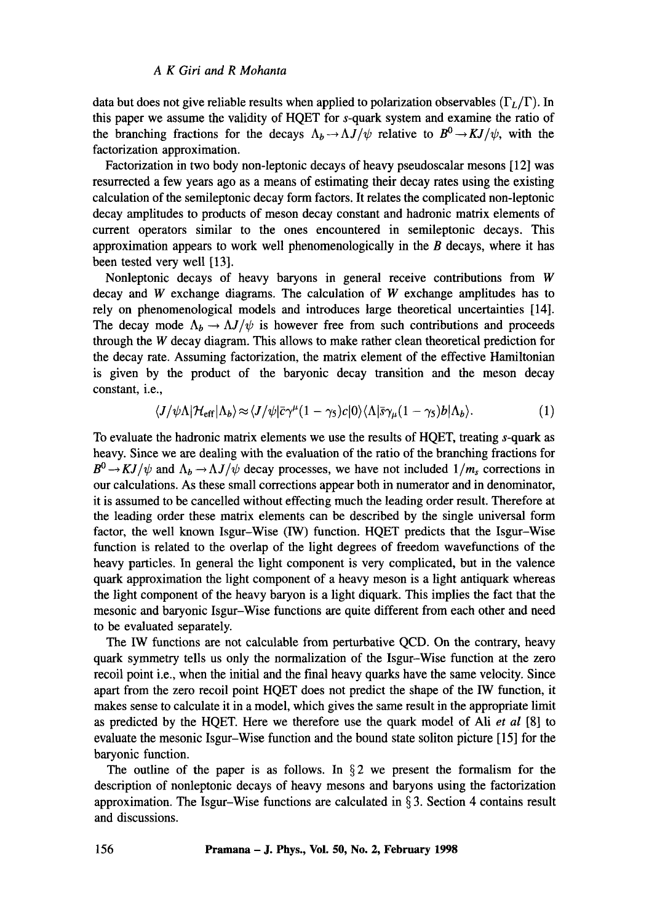data but does not give reliable results when applied to polarization observables  $(\Gamma_L/\Gamma)$ . In this paper we assume the validity of HQET for s-quark system and examine the ratio of the branching fractions for the decays  $\Lambda_b \rightarrow \Lambda J/\psi$  relative to  $B^0 \rightarrow KJ/\psi$ , with the factorization approximation.

Factorization in two body non-leptonic decays of heavy pseudoscalar mesons [ 12] was resurrected a few years ago as a means of estimating their decay rates using the existing calculation of the semileptonic decay form factors. It relates the complicated non-leptonic decay amplitudes to products of meson decay constant and hadronic matrix elements of current operators similar to the ones encountered in semileptonic decays. This approximation appears to work well phenomenologically in the  $B$  decays, where it has been tested very well [13].

Nonleptonic decays of heavy baryons in general receive contributions from W decay and  $W$  exchange diagrams. The calculation of  $W$  exchange amplitudes has to rely on phenomenological models and introduces large theoretical uncertainties [14]. The decay mode  $\Lambda_b \to \Lambda J/\psi$  is however free from such contributions and proceeds through the W decay diagram. This allows to make rather clean theoretical prediction for the decay rate. Assuming factorization, the matrix element of the effective Hamiltonian is given by the product of the baryonic decay transition and the meson decay constant, i.e.,

$$
\langle J/\psi\Lambda|\mathcal{H}_{\text{eff}}|\Lambda_b\rangle \approx \langle J/\psi|\bar{c}\gamma^{\mu}(1-\gamma_5)c|0\rangle\langle\Lambda|\bar{s}\gamma_{\mu}(1-\gamma_5)b|\Lambda_b\rangle. \tag{1}
$$

To evaluate the hadronic matrix elements we use the results of HQET, treating s-quark as heavy. Since we are dealing with the evaluation of the ratio of the branching fractions for  $B^0 \rightarrow KJ/\psi$  and  $\Lambda_b \rightarrow \Lambda J/\psi$  decay processes, we have not included  $1/m_s$  corrections in our calculations. As these small corrections appear both in numerator and in denominator, it is assumed to be cancelled without effecting much the leading order result. Therefore at the leading order these matrix elements can be described by the single universal form factor, the well known Isgur-Wise (IW) function. HQET predicts that the Isgur-Wise function is related to the overlap of the light degrees of freedom wavefunctions of the heavy particles. In general the light component is very complicated, but in the valence quark approximation the light component of a heavy meson is a light antiquark whereas the light component of the heavy baryon is a light diquark. This implies the fact that the mesonic and baryonic Isgur-Wise functions are quite different from each other and need to be evaluated separately.

The IW functions are not calculable from perturbative QCD. On the contrary, heavy quark symmetry tells us only the normalization of the Isgur-Wise function at the zero recoil point i.e., when the initial and the final heavy quarks have the same velocity. Since apart from the zero recoil point HQET does not predict the shape of the IW function, it makes sense to calculate it in a model, which gives the same result in the appropriate limit as predicted by the HQET. Here we therefore use the quark model of Ali *et al* [8] to evaluate the mesonic Isgur-Wise function and the bound state soliton picture [15] for the baryonic function.

The outline of the paper is as follows. In  $\S 2$  we present the formalism for the description of nonleptonic decays of heavy mesons and baryons using the factorization approximation. The Isgur-Wise functions are calculated in  $\S 3$ . Section 4 contains result and discussions.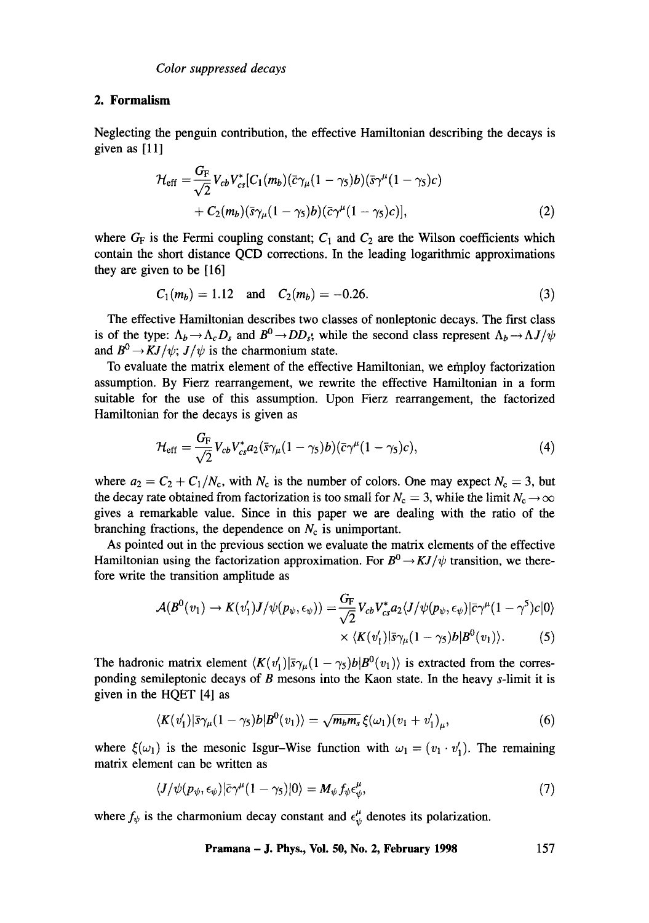# **2. Formalism**

Neglecting the penguin contribution, the effective Hamiltonian describing the decays is given as  $[11]$ 

$$
\mathcal{H}_{\text{eff}} = \frac{G_{\text{F}}}{\sqrt{2}} V_{cb} V_{cs}^* [C_1(m_b)(\bar{c}\gamma_\mu (1-\gamma_5)b)(\bar{s}\gamma^\mu (1-\gamma_5)c) + C_2(m_b)(\bar{s}\gamma_\mu (1-\gamma_5)b)(\bar{c}\gamma^\mu (1-\gamma_5)c)], \qquad (2)
$$

where  $G_F$  is the Fermi coupling constant;  $C_1$  and  $C_2$  are the Wilson coefficients which contain the short distance QCD corrections. In the leading logarithmic approximations they are given to be [16]

$$
C_1(m_b) = 1.12 \quad \text{and} \quad C_2(m_b) = -0.26. \tag{3}
$$

The effective Hamiltonian describes two classes of nonleptonic decays. The first class is of the type:  $\Lambda_b \rightarrow \Lambda_c D_s$  and  $B^0 \rightarrow DD_s$ , while the second class represent  $\Lambda_b \rightarrow \Lambda J/\psi$ and  $B^0 \rightarrow KJ/\psi$ ;  $J/\psi$  is the charmonium state.

To evaluate the matrix element of the effective Hamiltonian, we efnploy factorization assumption. By Fierz rearrangement, we rewrite the effective Hamiltonian in a form suitable for the use of this assumption. Upon Fierz rearrangement, the factorized Hamiltonian for the decays is given as

$$
\mathcal{H}_{\rm eff} = \frac{G_{\rm F}}{\sqrt{2}} V_{cb} V_{cs}^* a_2 (\bar{s} \gamma_\mu (1 - \gamma_5) b) (\bar{c} \gamma^\mu (1 - \gamma_5) c), \tag{4}
$$

where  $a_2 = C_2 + C_1/N_c$ , with  $N_c$  is the number of colors. One may expect  $N_c = 3$ , but the decay rate obtained from factorization is too small for  $N_c = 3$ , while the limit  $N_c \rightarrow \infty$ gives a remarkable value. Since in this paper we are dealing with the ratio of the branching fractions, the dependence on  $N_c$  is unimportant.

As pointed out in the previous section we evaluate the matrix elements of the effective Hamiltonian using the factorization approximation. For  $B^0 \rightarrow K J/\psi$  transition, we therefore write the transition amplitude as

$$
\mathcal{A}(B^0(v_1) \to K(v_1')J/\psi(p_{\psi}, \epsilon_{\psi})) = \frac{G_F}{\sqrt{2}} V_{cb} V_{cs}^* a_2 \langle J/\psi(p_{\psi}, \epsilon_{\psi}) | \bar{c} \gamma^{\mu} (1 - \gamma^5) c | 0 \rangle
$$
  
 
$$
\times \langle K(v_1') | \bar{s} \gamma_{\mu} (1 - \gamma_5) b | B^0(v_1) \rangle. \tag{5}
$$

The hadronic matrix element  $\langle K(v_1')|\bar{s}\gamma_\mu(1-\gamma_5)b|B^0(v_1)\rangle$  is extracted from the corresponding semileptonic decays of  $B$  mesons into the Kaon state. In the heavy  $s$ -limit it is given in the HQET [4] as

$$
\langle K(v'_1)|\bar{s}\gamma_\mu(1-\gamma_5)b|B^0(v_1)\rangle = \sqrt{m_b m_s}\,\xi(\omega_1)(v_1+v'_1)_\mu,\tag{6}
$$

where  $\xi(\omega_1)$  is the mesonic Isgur-Wise function with  $\omega_1 = (v_1 \cdot v_1')$ . The remaining matrix element can be written as

$$
\langle J/\psi(p_{\psi}, \epsilon_{\psi})|\bar{c}\gamma^{\mu}(1-\gamma_{5})|0\rangle = M_{\psi}f_{\psi}\epsilon_{\psi}^{\mu}, \qquad (7)
$$

where  $f_{\psi}$  is the charmonium decay constant and  $\epsilon_{\psi}^{\mu}$  denotes its polarization.

**Pramana - J. Phys., Vol. 50, No. 2, February 1998 157**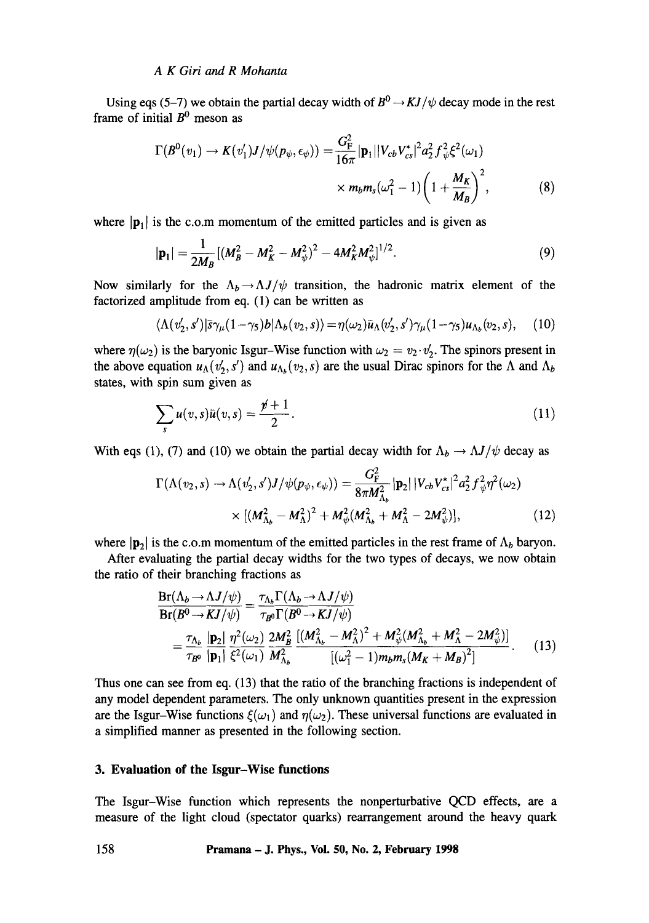#### *A K Giri and R Mohanta*

Using eqs (5-7) we obtain the partial decay width of  $B^0 \rightarrow KJ/\psi$  decay mode in the rest frame of initial  $B^0$  meson as

$$
\Gamma(B^{0}(v_{1}) \to K(v'_{1})J/\psi(p_{\psi}, \epsilon_{\psi})) = \frac{G_{\rm F}^{2}}{16\pi} |\mathbf{p}_{1}| |V_{cb}V_{cs}^{*}|^{2} a_{2}^{2} f_{\psi}^{2} \xi^{2}(\omega_{1})
$$

$$
\times m_{b} m_{s}(\omega_{1}^{2} - 1) \left(1 + \frac{M_{K}}{M_{B}}\right)^{2}, \tag{8}
$$

where  $|\mathbf{p}_1|$  is the c.o.m momentum of the emitted particles and is given as

$$
|\mathbf{p}_1| = \frac{1}{2M_B} [(M_B^2 - M_K^2 - M_\psi^2)^2 - 4M_K^2 M_\psi^2]^{1/2}.
$$
 (9)

Now similarly for the  $\Lambda_b \rightarrow \Lambda J/\psi$  transition, the hadronic matrix element of the factorized amplitude from eq. (1) can be written as

$$
\langle \Lambda(v_2', s') | \bar{s} \gamma_\mu (1 - \gamma_5) b | \Lambda_b(v_2, s) \rangle = \eta(\omega_2) \bar{u}_\Lambda(v_2', s') \gamma_\mu (1 - \gamma_5) u_{\Lambda_b}(v_2, s), \quad (10)
$$

where  $\eta(\omega_2)$  is the baryonic Isgur-Wise function with  $\omega_2 = v_2 \cdot v_2'$ . The spinors present in the above equation  $u_{\Lambda}(v'_2, s')$  and  $u_{\Lambda_b}(v_2, s)$  are the usual Dirac spinors for the  $\Lambda$  and  $\Lambda_b$ states, with spin sum given as

$$
\sum_{s} u(v,s)\bar{u}(v,s) = \frac{\rlap{\hspace{0.02cm}/}{p}+1}{2}.
$$
\n(11)

With eqs (1), (7) and (10) we obtain the partial decay width for  $\Lambda_b \to \Lambda J/\psi$  decay as

$$
\Gamma(\Lambda(v_2, s) \to \Lambda(v'_2, s')J/\psi(p_{\psi}, \epsilon_{\psi})) = \frac{G_F^2}{8\pi M_{\Lambda_b}^2} |\mathbf{p}_2| |V_{cb}V_{cs}^*|^2 a_2^2 f_{\psi}^2 \eta^2(\omega_2)
$$
  
 
$$
\times [ (M_{\Lambda_b}^2 - M_{\Lambda}^2)^2 + M_{\psi}^2 (M_{\Lambda_b}^2 + M_{\Lambda}^2 - 2M_{\psi}^2)], \qquad (12)
$$

where  $|\mathbf{p}_2|$  is the c.o.m momentum of the emitted particles in the rest frame of  $\Lambda_b$  baryon.

After evaluating the partial decay widths for the two types of decays, we now obtain the ratio of their branching fractions as

$$
\frac{\text{Br}(\Lambda_b \to \Lambda J/\psi)}{\text{Br}(B^0 \to KJ/\psi)} = \frac{\tau_{\Lambda_b} \Gamma(\Lambda_b \to \Lambda J/\psi)}{\tau_{B^0} \Gamma(B^0 \to KJ/\psi)}
$$
\n
$$
= \frac{\tau_{\Lambda_b}}{\tau_{B^0}} \frac{|\mathbf{p}_2|}{|\mathbf{p}_1|} \frac{\eta^2(\omega_2)}{\xi^2(\omega_1)} \frac{2M_B^2}{M_{\Lambda_b}^2} \frac{\left[(M_{\Lambda_b}^2 - M_{\Lambda}^2)^2 + M_{\psi}^2(M_{\Lambda_b}^2 + M_{\Lambda}^2 - 2M_{\psi}^2)\right]}{\left[(\omega_1^2 - 1)m_b m_s(M_K + M_B)^2\right]}.
$$
\n(13)

Thus one can see from eq. (13) that the ratio of the branching fractions is independent of any model dependent parameters. The only unknown quantities present in the expression are the Isgur-Wise functions  $\xi(\omega_1)$  and  $\eta(\omega_2)$ . These universal functions are evaluated in a simplified manner as presented in the following section.

### **3. Evaluation of the Isgur-Wise functions**

The Isgur-Wise function which represents the nonperturbative QCD effects, are a measure of the light cloud (spectator quarks) rearrangement around the heavy quark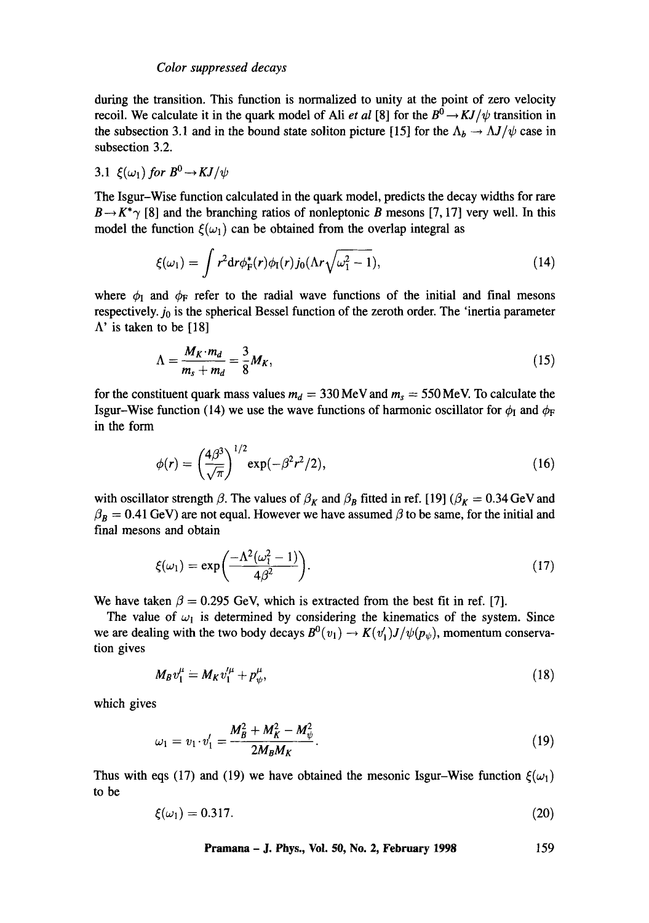during the transition. This function is normalized to unity at the point of zero velocity recoil. We calculate it in the quark model of Ali *et al* [8] for the  $B^0 \to KJ/\psi$  transition in the subsection 3.1 and in the bound state soliton picture [15] for the  $\Lambda_b \to \Lambda J/\psi$  case in subsection 3.2.

# 3.1  $\xi(\omega_1)$  *for*  $B^0 \rightarrow KJ/\psi$

The Isgur-Wise function calculated in the quark model, predicts the decay widths for rare  $B \rightarrow K^* \gamma$  [8] and the branching ratios of nonleptonic B mesons [7, 17] very well. In this model the function  $\xi(\omega_1)$  can be obtained from the overlap integral as

$$
\xi(\omega_1) = \int r^2 dr \phi_F^*(r) \phi_I(r) j_0(\Lambda r \sqrt{\omega_1^2 - 1}), \qquad (14)
$$

where  $\phi_I$  and  $\phi_F$  refer to the radial wave functions of the initial and final mesons respectively.  $j_0$  is the spherical Bessel function of the zeroth order. The 'inertia parameter  $\Lambda'$  is taken to be [18]

$$
\Lambda = \frac{M_K \cdot m_d}{m_s + m_d} = \frac{3}{8} M_K, \tag{15}
$$

for the constituent quark mass values  $m_d = 330 \text{ MeV}$  and  $m_s = 550 \text{ MeV}$ . To calculate the Isgur-Wise function (14) we use the wave functions of harmonic oscillator for  $\phi_I$  and  $\phi_F$ in the form

$$
\phi(r) = \left(\frac{4\beta^3}{\sqrt{\pi}}\right)^{1/2} \exp(-\beta^2 r^2/2),\tag{16}
$$

with oscillator strength  $\beta$ . The values of  $\beta_K$  and  $\beta_B$  fitted in ref. [19] ( $\beta_K = 0.34$  GeV and  $\beta_B = 0.41$  GeV) are not equal. However we have assumed  $\beta$  to be same, for the initial and final mesons and obtain

$$
\xi(\omega_1) = \exp\left(\frac{-\Lambda^2(\omega_1^2 - 1)}{4\beta^2}\right). \tag{17}
$$

We have taken  $\beta = 0.295$  GeV, which is extracted from the best fit in ref. [7].

The value of  $\omega_1$  is determined by considering the kinematics of the system. Since we are dealing with the two body decays  $B^0(v_1) \to K(v'_1)J/\psi(p_{\psi})$ , momentum conservation gives

$$
M_B v_1^{\mu} = M_K v_1^{\mu} + p_{\psi}^{\mu}, \tag{18}
$$

which gives

$$
\omega_1 = v_1 \cdot v_1' = \frac{M_B^2 + M_K^2 - M_\psi^2}{2M_B M_K}.
$$
\n(19)

Thus with eqs (17) and (19) we have obtained the mesonic Isgur-Wise function  $\xi(\omega_1)$ to be

$$
\xi(\omega_1)=0.317.\tag{20}
$$

**Pramana - J. Phys., Vol. 50, No. 2, February 1998 159**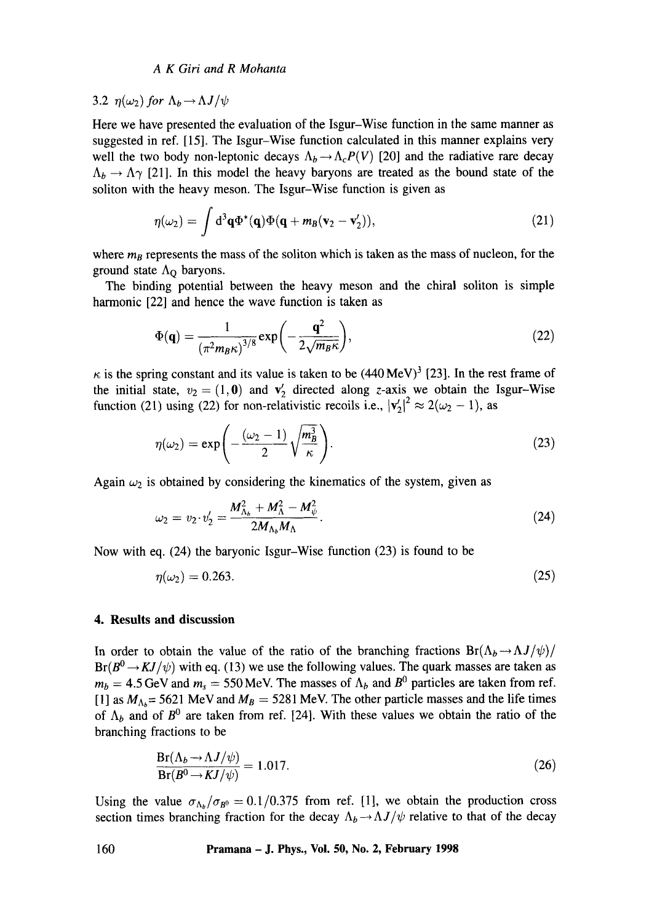#### *A K Giri and R Mohanta*

3.2  $n(\omega_2)$  for  $\Lambda_b \rightarrow \Lambda J/\psi$ 

Here we have presented the evaluation of the Isgur-Wise function in the same manner as suggested in ref. [15]. The Isgur-Wise function calculated in this manner explains very well the two body non-leptonic decays  $\Lambda_b \rightarrow \Lambda_c P(V)$  [20] and the radiative rare decay  $\Lambda_b \to \Lambda \gamma$  [21]. In this model the heavy baryons are treated as the bound state of the soliton with the heavy meson. The Isgur-Wise function is given as

$$
\eta(\omega_2) = \int d^3\mathbf{q}\Phi^*(\mathbf{q})\Phi(\mathbf{q} + m_B(\mathbf{v}_2 - \mathbf{v}'_2)), \qquad (21)
$$

where  $m_B$  represents the mass of the soliton which is taken as the mass of nucleon, for the ground state  $\Lambda_{\rm O}$  baryons.

The binding potential between the heavy meson and the chiral soliton is simple harmonic [22] and hence the wave function is taken as

$$
\Phi(\mathbf{q}) = \frac{1}{\left(\pi^2 m_B \kappa\right)^{3/8}} \exp\left(-\frac{\mathbf{q}^2}{2\sqrt{m_B \kappa}}\right),\tag{22}
$$

 $\kappa$  is the spring constant and its value is taken to be (440 MeV)<sup>3</sup> [23]. In the rest frame of the initial state,  $v_2 = (1, 0)$  and  $v'_2$  directed along z-axis we obtain the Isgur-Wise function (21) using (22) for non-relativistic recoils i.e.,  $|v'_2|^2 \approx 2(\omega_2 - 1)$ , as

$$
\eta(\omega_2) = \exp\left(-\frac{(\omega_2 - 1)}{2}\sqrt{\frac{m_B^3}{\kappa}}\right).
$$
\n(23)

Again  $\omega_2$  is obtained by considering the kinematics of the system, given as

$$
\omega_2 = v_2 \cdot v_2' = \frac{M_{\Lambda_b}^2 + M_\Lambda^2 - M_\psi^2}{2M_{\Lambda_b}M_\Lambda}.
$$
\n(24)

Now with eq. (24) the baryonic Isgur-Wise function (23) is found to be

$$
\eta(\omega_2) = 0.263. \tag{25}
$$

# **4. Results and discussion**

In order to obtain the value of the ratio of the branching fractions  $Br(\Lambda_b \rightarrow \Lambda J/\psi)/$  $Br(B^0 \rightarrow KJ/\psi)$  with eq. (13) we use the following values. The quark masses are taken as  $m_b = 4.5$  GeV and  $m_s = 550$  MeV. The masses of  $\Lambda_b$  and  $B^0$  particles are taken from ref. [1] as  $M_{\Lambda_b}$  = 5621 MeV and  $M_B$  = 5281 MeV. The other particle masses and the life times of  $\Lambda_b$  and of  $B^0$  are taken from ref. [24]. With these values we obtain the ratio of the branching fractions to be

$$
\frac{\text{Br}(\Lambda_b \to \Lambda J/\psi)}{\text{Br}(B^0 \to K J/\psi)} = 1.017. \tag{26}
$$

Using the value  $\sigma_{\Lambda_b}/\sigma_{B^0} = 0.1/0.375$  from ref. [1], we obtain the production cross section times branching fraction for the decay  $\Lambda_b \rightarrow \Lambda J/\psi$  relative to that of the decay

**160 Pramana -J. Phys., Vol. 50, No. 2, February 1998**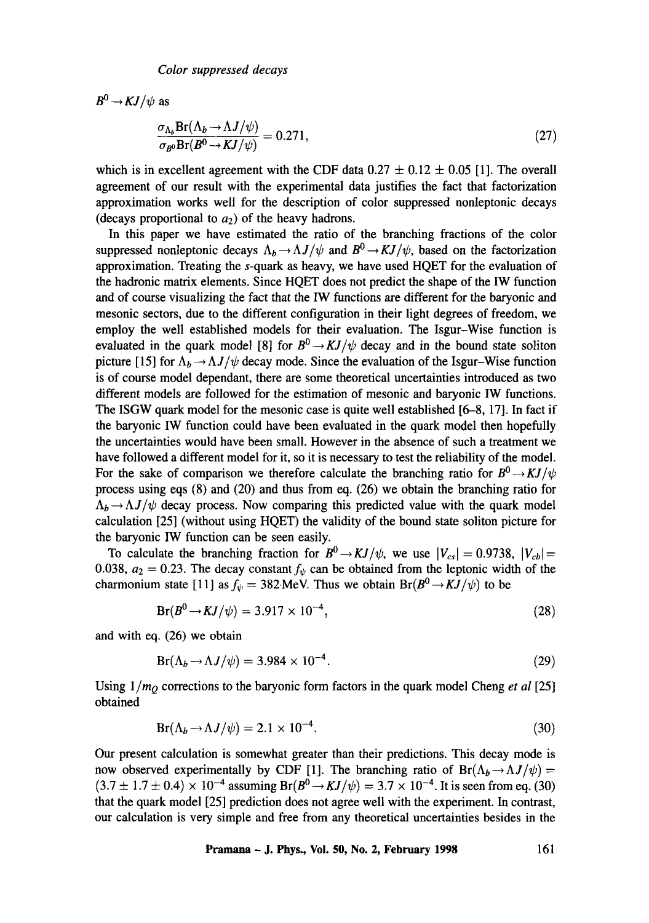$B^0 \rightarrow K J/\psi$  as

$$
\frac{\sigma_{\Lambda_b} Br(\Lambda_b \to \Lambda J/\psi)}{\sigma_{B^0} Br(B^0 \to KJ/\psi)} = 0.271,
$$
\n(27)

which is in excellent agreement with the CDF data  $0.27 \pm 0.12 \pm 0.05$  [1]. The overall agreement of our result with the experimental data justifies the fact that factorization approximation works well for the description of color suppressed nonleptonic decays (decays proportional to  $a_2$ ) of the heavy hadrons.

In this paper we have estimated the ratio of the branching fractions of the color suppressed nonleptonic decays  $\Lambda_b \rightarrow \Lambda J/\psi$  and  $B^0 \rightarrow KJ/\psi$ , based on the factorization approximation. Treating the s-quark as heavy, we have used HQET for the evaluation of the hadronic matrix elements. Since HQET does not predict the shape of the IW function and of course visualizing the fact that the lW functions are different for the baryonic and mesonic sectors, due to the different configuration in their light degrees of freedom, we employ the well established models for their evaluation. The Isgur-Wise function is evaluated in the quark model [8] for  $B^0 \to KJ/\psi$  decay and in the bound state soliton picture [15] for  $\Lambda_b \rightarrow \Lambda J/\psi$  decay mode. Since the evaluation of the Isgur-Wise function is of course model dependant, there are some theoretical uncertainties introduced as two different models are followed for the estimation of mesonic and baryonic IW functions. The ISGW quark model for the mesonic case is quite well established [6-8, 17]. In fact if the baryonic IW function could have been evaluated in the quark model then hopefully the uncertainties would have been small. However in the absence of such a treatment we have followed a different model for it, so it is necessary to test the reliability of the model. For the sake of comparison we therefore calculate the branching ratio for  $B^0 \rightarrow KJ/\psi$ process using eqs (8) and (20) and thus from eq. (26) we obtain the branching ratio for  $A_b \rightarrow \Delta J/\psi$  decay process. Now comparing this predicted value with the quark model calculation [25] (without using HQET) the validity of the bound state soliton picture for the baryonic IW function can be seen easily.

To calculate the branching fraction for  $B^0 \rightarrow KJ/\psi$ , we use  $|V_{cs}| = 0.9738$ ,  $|V_{cb}| =$ 0.038,  $a_2 = 0.23$ . The decay constant  $f_{\psi}$  can be obtained from the leptonic width of the charmonium state [11] as  $f_{\psi} = 382 \text{ MeV}$ . Thus we obtain  $Br(B^0 \rightarrow KJ/\psi)$  to be

$$
Br(B^{0} \to KJ/\psi) = 3.917 \times 10^{-4}, \qquad (28)
$$

and with eq. (26) we obtain

$$
Br(\Lambda_b \to \Lambda J/\psi) = 3.984 \times 10^{-4}.
$$
 (29)

Using *1/mQ* corrections to the baryonic form factors in the quark model Cheng *et al* [25] obtained

$$
Br(\Lambda_b \to \Lambda J/\psi) = 2.1 \times 10^{-4}.
$$
\n(30)

Our present calculation is somewhat greater than their predictions. This decay mode is now observed experimentally by CDF [1]. The branching ratio of  $Br(\Lambda_b \to \Lambda J/\psi) =$  $(3.7 \pm 1.7 \pm 0.4) \times 10^{-4}$  assuming  $Br(B^0 \to KJ/\psi) = 3.7 \times 10^{-4}$ . It is seen from eq. (30) that the quark model [25] prediction does not agree well with the experiment. In contrast, our calculation is very simple and free from any theoretical uncertainties besides in the